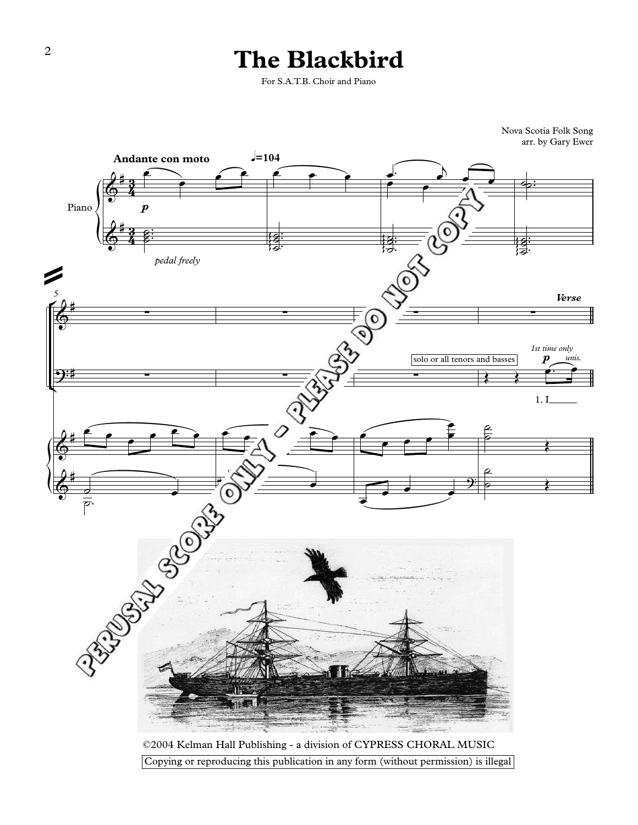## **The Blackbird**

For S.A.T.B. Choir and Piano



©2004 Kelman Hall Publishing - a division of CYPRESS CHORAL MUSIC Copying or reproducing this publication in any form (without permission) is illegal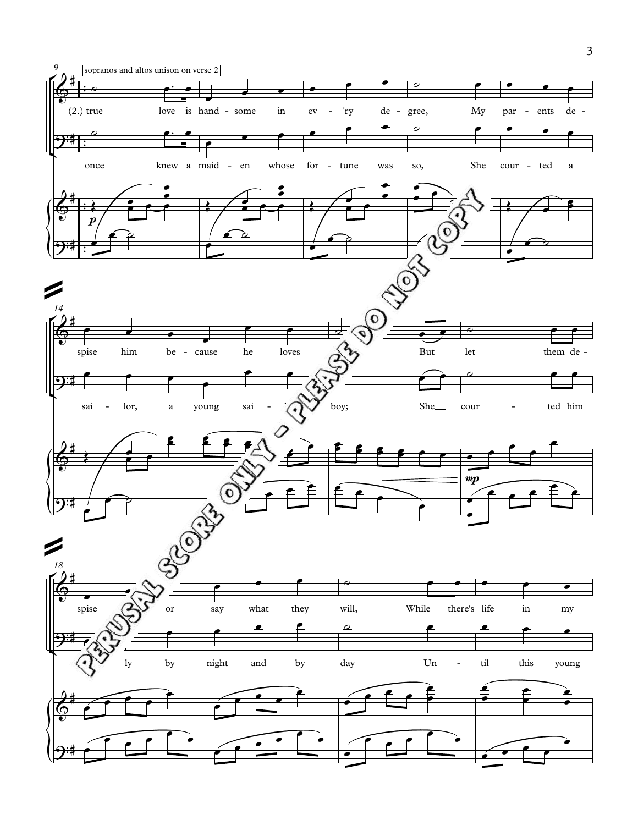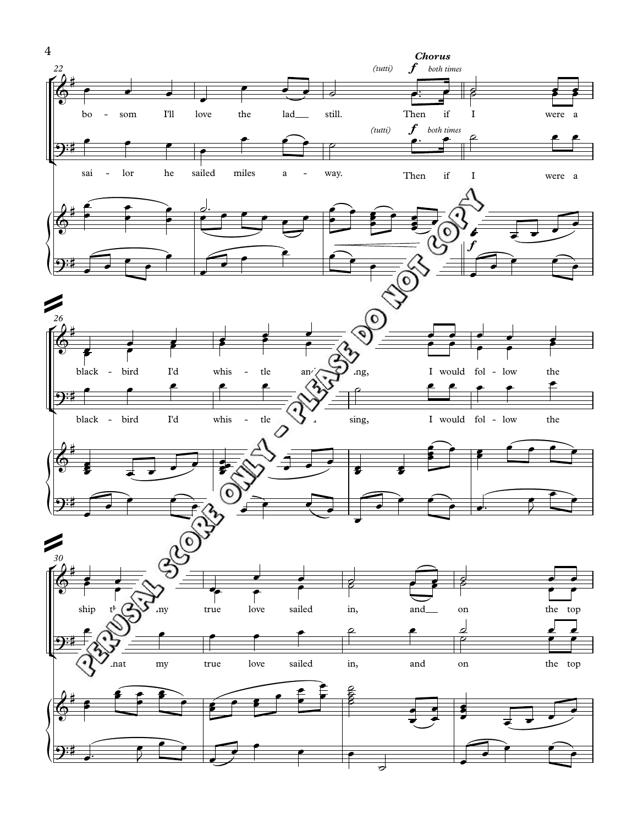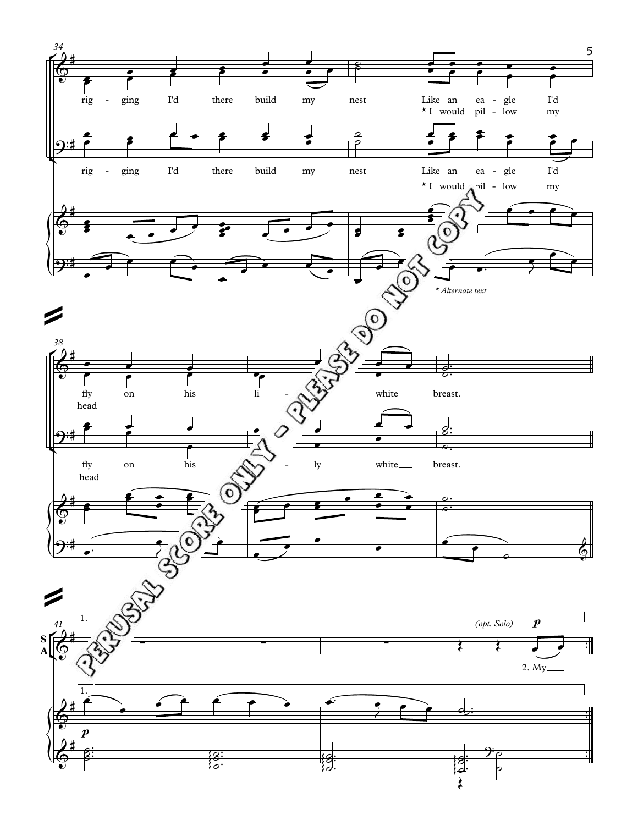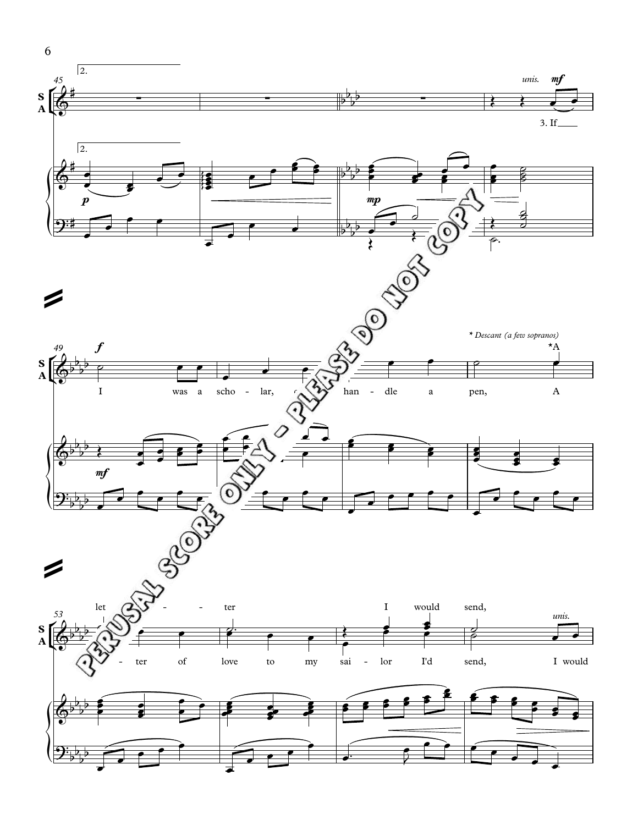